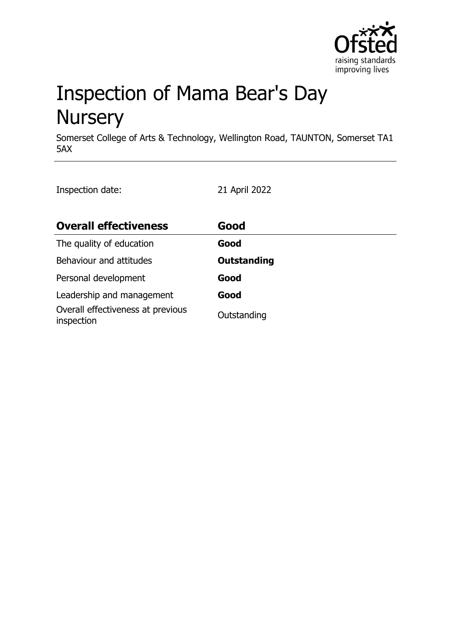

# Inspection of Mama Bear's Day **Nursery**

Somerset College of Arts & Technology, Wellington Road, TAUNTON, Somerset TA1 5AX

Inspection date: 21 April 2022

| <b>Overall effectiveness</b>                    | Good               |
|-------------------------------------------------|--------------------|
| The quality of education                        | Good               |
| Behaviour and attitudes                         | <b>Outstanding</b> |
| Personal development                            | Good               |
| Leadership and management                       | Good               |
| Overall effectiveness at previous<br>inspection | Outstanding        |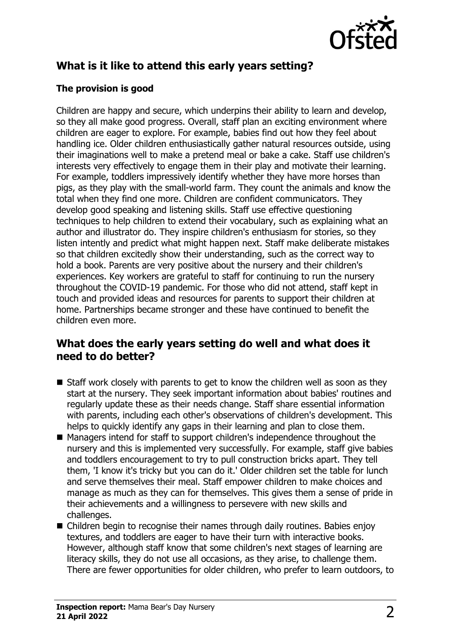

# **What is it like to attend this early years setting?**

#### **The provision is good**

Children are happy and secure, which underpins their ability to learn and develop, so they all make good progress. Overall, staff plan an exciting environment where children are eager to explore. For example, babies find out how they feel about handling ice. Older children enthusiastically gather natural resources outside, using their imaginations well to make a pretend meal or bake a cake. Staff use children's interests very effectively to engage them in their play and motivate their learning. For example, toddlers impressively identify whether they have more horses than pigs, as they play with the small-world farm. They count the animals and know the total when they find one more. Children are confident communicators. They develop good speaking and listening skills. Staff use effective questioning techniques to help children to extend their vocabulary, such as explaining what an author and illustrator do. They inspire children's enthusiasm for stories, so they listen intently and predict what might happen next. Staff make deliberate mistakes so that children excitedly show their understanding, such as the correct way to hold a book. Parents are very positive about the nursery and their children's experiences. Key workers are grateful to staff for continuing to run the nursery throughout the COVID-19 pandemic. For those who did not attend, staff kept in touch and provided ideas and resources for parents to support their children at home. Partnerships became stronger and these have continued to benefit the children even more.

#### **What does the early years setting do well and what does it need to do better?**

- $\blacksquare$  Staff work closely with parents to get to know the children well as soon as they start at the nursery. They seek important information about babies' routines and regularly update these as their needs change. Staff share essential information with parents, including each other's observations of children's development. This helps to quickly identify any gaps in their learning and plan to close them.
- Managers intend for staff to support children's independence throughout the nursery and this is implemented very successfully. For example, staff give babies and toddlers encouragement to try to pull construction bricks apart. They tell them, 'I know it's tricky but you can do it.' Older children set the table for lunch and serve themselves their meal. Staff empower children to make choices and manage as much as they can for themselves. This gives them a sense of pride in their achievements and a willingness to persevere with new skills and challenges.
- $\blacksquare$  Children begin to recognise their names through daily routines. Babies enjoy textures, and toddlers are eager to have their turn with interactive books. However, although staff know that some children's next stages of learning are literacy skills, they do not use all occasions, as they arise, to challenge them. There are fewer opportunities for older children, who prefer to learn outdoors, to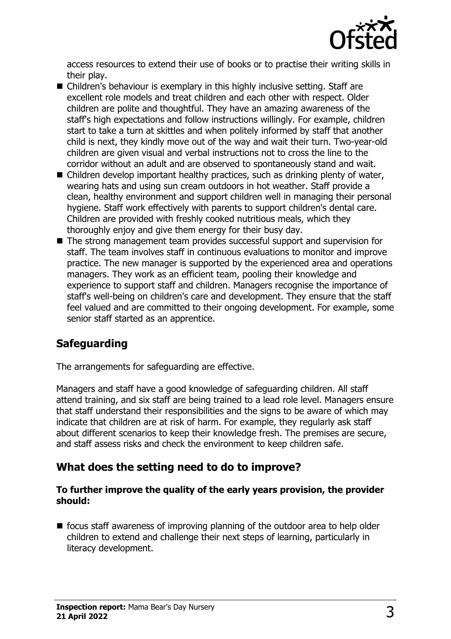

access resources to extend their use of books or to practise their writing skills in their play.

- $\blacksquare$  Children's behaviour is exemplary in this highly inclusive setting. Staff are excellent role models and treat children and each other with respect. Older children are polite and thoughtful. They have an amazing awareness of the staff's high expectations and follow instructions willingly. For example, children start to take a turn at skittles and when politely informed by staff that another child is next, they kindly move out of the way and wait their turn. Two-year-old children are given visual and verbal instructions not to cross the line to the corridor without an adult and are observed to spontaneously stand and wait.
- $\blacksquare$  Children develop important healthy practices, such as drinking plenty of water, wearing hats and using sun cream outdoors in hot weather. Staff provide a clean, healthy environment and support children well in managing their personal hygiene. Staff work effectively with parents to support children's dental care. Children are provided with freshly cooked nutritious meals, which they thoroughly enjoy and give them energy for their busy day.
- The strong management team provides successful support and supervision for staff. The team involves staff in continuous evaluations to monitor and improve practice. The new manager is supported by the experienced area and operations managers. They work as an efficient team, pooling their knowledge and experience to support staff and children. Managers recognise the importance of staff's well-being on children's care and development. They ensure that the staff feel valued and are committed to their ongoing development. For example, some senior staff started as an apprentice.

## **Safeguarding**

The arrangements for safeguarding are effective.

Managers and staff have a good knowledge of safeguarding children. All staff attend training, and six staff are being trained to a lead role level. Managers ensure that staff understand their responsibilities and the signs to be aware of which may indicate that children are at risk of harm. For example, they regularly ask staff about different scenarios to keep their knowledge fresh. The premises are secure, and staff assess risks and check the environment to keep children safe.

#### **What does the setting need to do to improve?**

#### **To further improve the quality of the early years provision, the provider should:**

 $\blacksquare$  focus staff awareness of improving planning of the outdoor area to help older children to extend and challenge their next steps of learning, particularly in literacy development.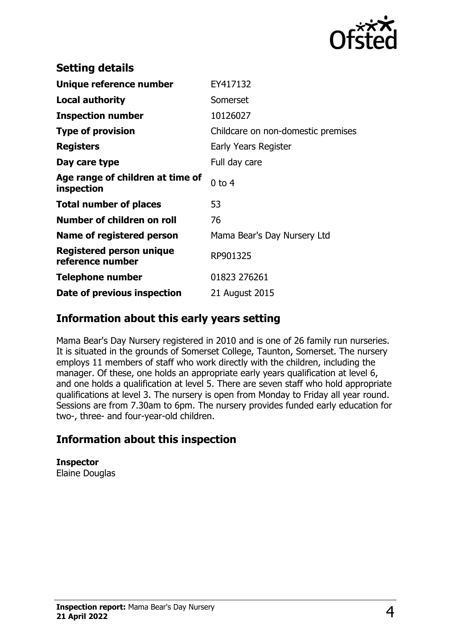

| <b>Setting details</b>                              |                                    |
|-----------------------------------------------------|------------------------------------|
| Unique reference number                             | EY417132                           |
| Local authority                                     | Somerset                           |
| <b>Inspection number</b>                            | 10126027                           |
| <b>Type of provision</b>                            | Childcare on non-domestic premises |
| <b>Registers</b>                                    | Early Years Register               |
| Day care type                                       | Full day care                      |
| Age range of children at time of<br>inspection      | $0$ to $4$                         |
| <b>Total number of places</b>                       | 53                                 |
| Number of children on roll                          | 76                                 |
| Name of registered person                           | Mama Bear's Day Nursery Ltd        |
| <b>Registered person unique</b><br>reference number | RP901325                           |
| Telephone number                                    | 01823 276261                       |
| Date of previous inspection                         | 21 August 2015                     |

#### **Information about this early years setting**

Mama Bear's Day Nursery registered in 2010 and is one of 26 family run nurseries. It is situated in the grounds of Somerset College, Taunton, Somerset. The nursery employs 11 members of staff who work directly with the children, including the manager. Of these, one holds an appropriate early years qualification at level 6, and one holds a qualification at level 5. There are seven staff who hold appropriate qualifications at level 3. The nursery is open from Monday to Friday all year round. Sessions are from 7.30am to 6pm. The nursery provides funded early education for two-, three- and four-year-old children.

## **Information about this inspection**

**Inspector** Elaine Douglas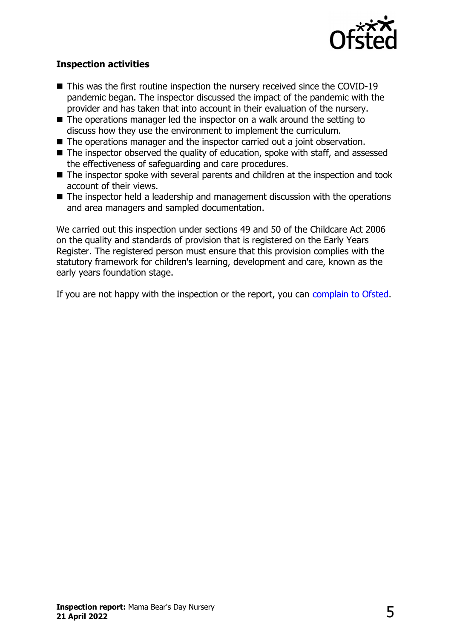

#### **Inspection activities**

- $\blacksquare$  This was the first routine inspection the nursery received since the COVID-19 pandemic began. The inspector discussed the impact of the pandemic with the provider and has taken that into account in their evaluation of the nursery.
- $\blacksquare$  The operations manager led the inspector on a walk around the setting to discuss how they use the environment to implement the curriculum.
- The operations manager and the inspector carried out a joint observation.
- $\blacksquare$  The inspector observed the quality of education, spoke with staff, and assessed the effectiveness of safeguarding and care procedures.
- $\blacksquare$  The inspector spoke with several parents and children at the inspection and took account of their views.
- $\blacksquare$  The inspector held a leadership and management discussion with the operations and area managers and sampled documentation.

We carried out this inspection under sections 49 and 50 of the Childcare Act 2006 on the quality and standards of provision that is registered on the Early Years Register. The registered person must ensure that this provision complies with the statutory framework for children's learning, development and care, known as the early years foundation stage.

If you are not happy with the inspection or the report, you can [complain to Ofsted](http://www.gov.uk/complain-ofsted-report).